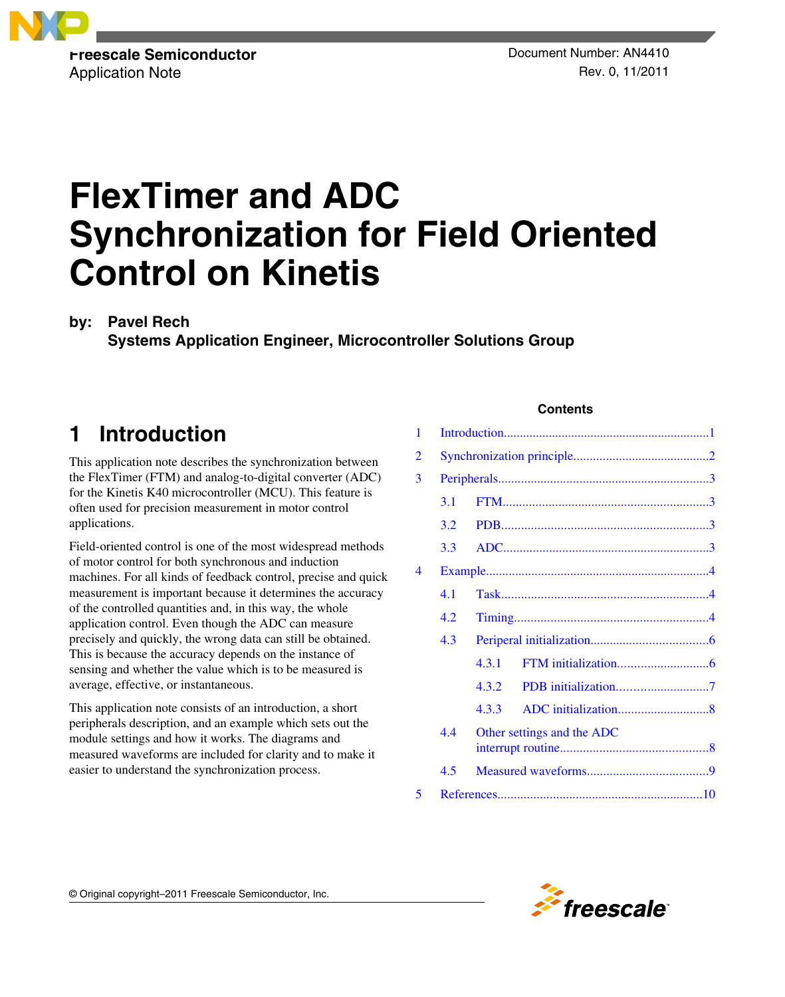

# **FlexTimer and ADC Synchronization for Field Oriented Control on Kinetis**

**by: Pavel Rech**

**Systems Application Engineer, Microcontroller Solutions Group**

## **1 Introduction**

This application note describes the synchronization between the FlexTimer (FTM) and analog-to-digital converter (ADC) for the Kinetis K40 microcontroller (MCU). This feature is often used for precision measurement in motor control applications.

Field-oriented control is one of the most widespread methods of motor control for both synchronous and induction machines. For all kinds of feedback control, precise and quick measurement is important because it determines the accuracy of the controlled quantities and, in this way, the whole application control. Even though the ADC can measure precisely and quickly, the wrong data can still be obtained. This is because the accuracy depends on the instance of sensing and whether the value which is to be measured is average, effective, or instantaneous.

This application note consists of an introduction, a short peripherals description, and an example which sets out the module settings and how it works. The diagrams and measured waveforms are included for clarity and to make it easier to understand the synchronization process.

### **Contents**

| 1 |     |                            |  |  |
|---|-----|----------------------------|--|--|
| 2 |     |                            |  |  |
| 3 |     |                            |  |  |
|   | 3.1 |                            |  |  |
|   | 3.2 |                            |  |  |
|   | 3.3 |                            |  |  |
| 4 |     |                            |  |  |
|   | 4.1 |                            |  |  |
|   | 4.2 |                            |  |  |
|   | 4.3 |                            |  |  |
|   |     | 4.3.1                      |  |  |
|   |     | 4.3.2                      |  |  |
|   |     | 4.3.3                      |  |  |
|   | 4.4 | Other settings and the ADC |  |  |
|   | 4.5 |                            |  |  |
| 5 |     |                            |  |  |

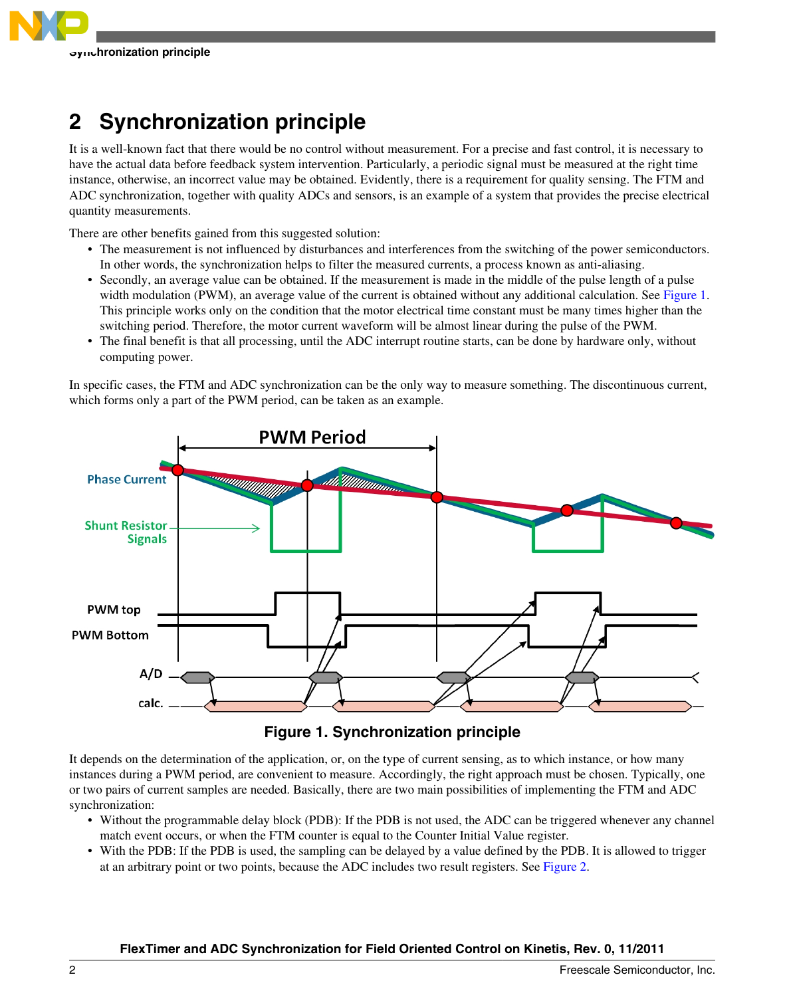<span id="page-1-0"></span>

## **2 Synchronization principle**

It is a well-known fact that there would be no control without measurement. For a precise and fast control, it is necessary to have the actual data before feedback system intervention. Particularly, a periodic signal must be measured at the right time instance, otherwise, an incorrect value may be obtained. Evidently, there is a requirement for quality sensing. The FTM and ADC synchronization, together with quality ADCs and sensors, is an example of a system that provides the precise electrical quantity measurements.

There are other benefits gained from this suggested solution:

- The measurement is not influenced by disturbances and interferences from the switching of the power semiconductors. In other words, the synchronization helps to filter the measured currents, a process known as anti-aliasing.
- Secondly, an average value can be obtained. If the measurement is made in the middle of the pulse length of a pulse width modulation (PWM), an average value of the current is obtained without any additional calculation. See Figure 1. This principle works only on the condition that the motor electrical time constant must be many times higher than the switching period. Therefore, the motor current waveform will be almost linear during the pulse of the PWM.
- The final benefit is that all processing, until the ADC interrupt routine starts, can be done by hardware only, without computing power.

In specific cases, the FTM and ADC synchronization can be the only way to measure something. The discontinuous current, which forms only a part of the PWM period, can be taken as an example.



**Figure 1. Synchronization principle**

It depends on the determination of the application, or, on the type of current sensing, as to which instance, or how many instances during a PWM period, are convenient to measure. Accordingly, the right approach must be chosen. Typically, one or two pairs of current samples are needed. Basically, there are two main possibilities of implementing the FTM and ADC synchronization:

- Without the programmable delay block (PDB): If the PDB is not used, the ADC can be triggered whenever any channel match event occurs, or when the FTM counter is equal to the Counter Initial Value register.
- With the PDB: If the PDB is used, the sampling can be delayed by a value defined by the PDB. It is allowed to trigger at an arbitrary point or two points, because the ADC includes two result registers. See [Figure 2](#page-2-0).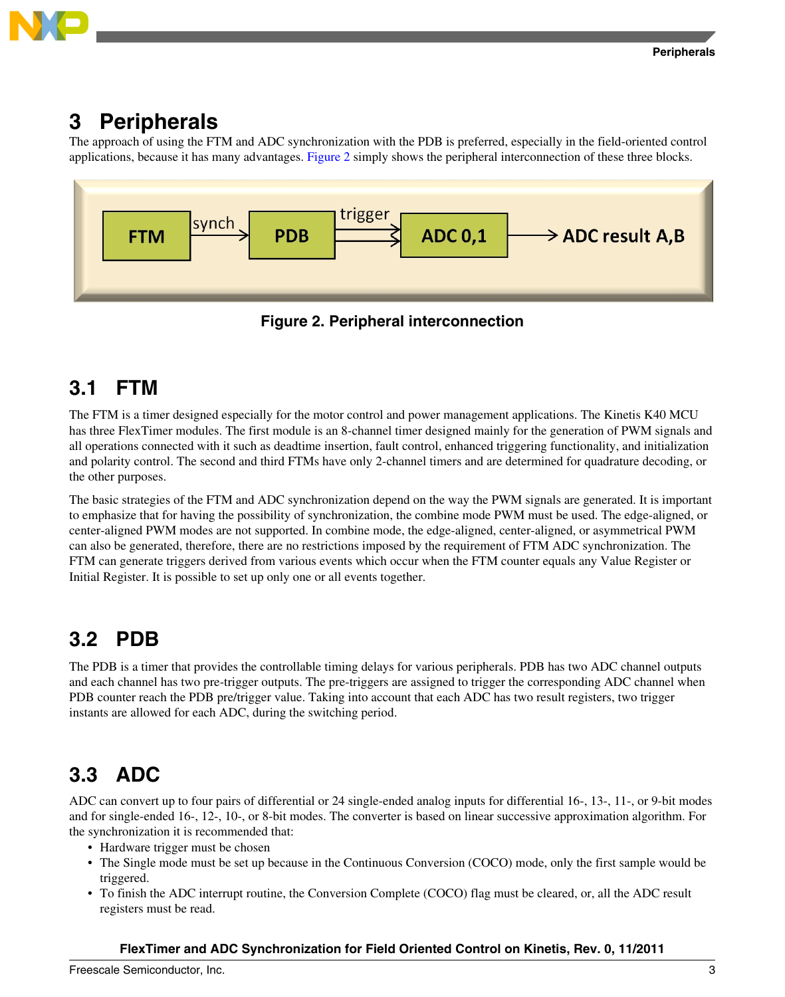

<span id="page-2-0"></span>

## **3 Peripherals**

The approach of using the FTM and ADC synchronization with the PDB is preferred, especially in the field-oriented control applications, because it has many advantages. Figure 2 simply shows the peripheral interconnection of these three blocks.



**Figure 2. Peripheral interconnection**

## **3.1 FTM**

The FTM is a timer designed especially for the motor control and power management applications. The Kinetis K40 MCU has three FlexTimer modules. The first module is an 8-channel timer designed mainly for the generation of PWM signals and all operations connected with it such as deadtime insertion, fault control, enhanced triggering functionality, and initialization and polarity control. The second and third FTMs have only 2-channel timers and are determined for quadrature decoding, or the other purposes.

The basic strategies of the FTM and ADC synchronization depend on the way the PWM signals are generated. It is important to emphasize that for having the possibility of synchronization, the combine mode PWM must be used. The edge-aligned, or center-aligned PWM modes are not supported. In combine mode, the edge-aligned, center-aligned, or asymmetrical PWM can also be generated, therefore, there are no restrictions imposed by the requirement of FTM ADC synchronization. The FTM can generate triggers derived from various events which occur when the FTM counter equals any Value Register or Initial Register. It is possible to set up only one or all events together.

## **3.2 PDB**

The PDB is a timer that provides the controllable timing delays for various peripherals. PDB has two ADC channel outputs and each channel has two pre-trigger outputs. The pre-triggers are assigned to trigger the corresponding ADC channel when PDB counter reach the PDB pre/trigger value. Taking into account that each ADC has two result registers, two trigger instants are allowed for each ADC, during the switching period.

## **3.3 ADC**

ADC can convert up to four pairs of differential or 24 single-ended analog inputs for differential 16-, 13-, 11-, or 9-bit modes and for single-ended 16-, 12-, 10-, or 8-bit modes. The converter is based on linear successive approximation algorithm. For the synchronization it is recommended that:

- Hardware trigger must be chosen
- The Single mode must be set up because in the Continuous Conversion (COCO) mode, only the first sample would be triggered.
- To finish the ADC interrupt routine, the Conversion Complete (COCO) flag must be cleared, or, all the ADC result registers must be read.

### **FlexTimer and ADC Synchronization for Field Oriented Control on Kinetis, Rev. 0, 11/2011**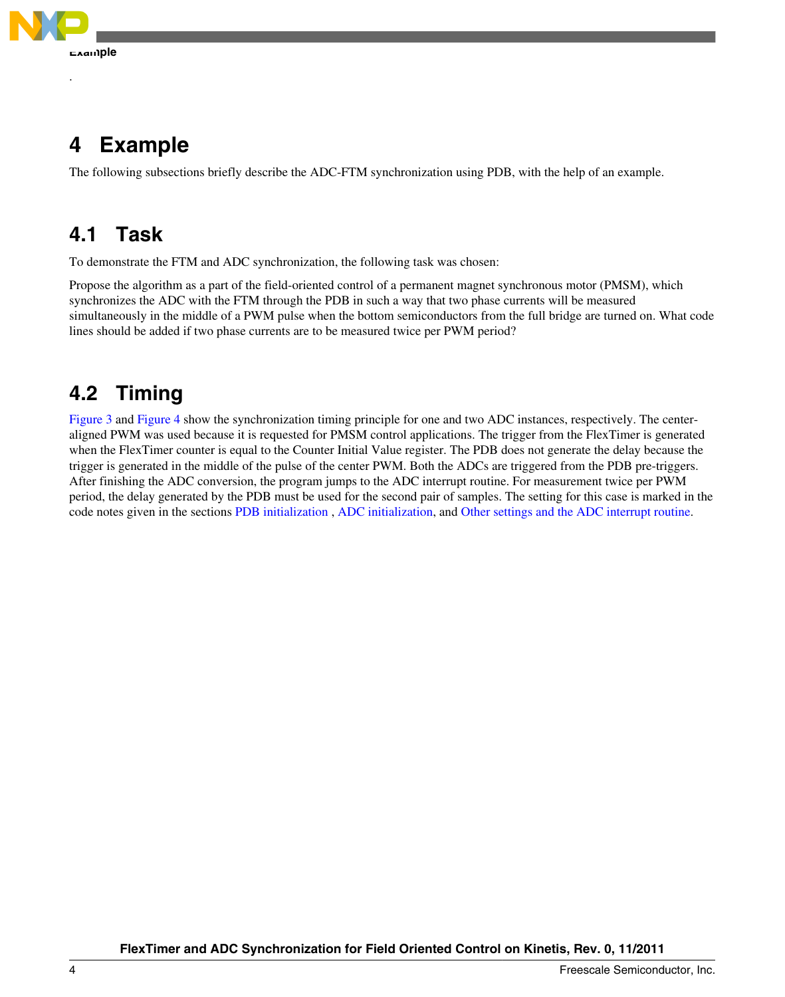<span id="page-3-0"></span>

.

## **4 Example**

The following subsections briefly describe the ADC-FTM synchronization using PDB, with the help of an example.

## **4.1 Task**

To demonstrate the FTM and ADC synchronization, the following task was chosen:

Propose the algorithm as a part of the field-oriented control of a permanent magnet synchronous motor (PMSM), which synchronizes the ADC with the FTM through the PDB in such a way that two phase currents will be measured simultaneously in the middle of a PWM pulse when the bottom semiconductors from the full bridge are turned on. What code lines should be added if two phase currents are to be measured twice per PWM period?

## **4.2 Timing**

[Figure 3](#page-4-0) and [Figure 4](#page-5-0) show the synchronization timing principle for one and two ADC instances, respectively. The centeraligned PWM was used because it is requested for PMSM control applications. The trigger from the FlexTimer is generated when the FlexTimer counter is equal to the Counter Initial Value register. The PDB does not generate the delay because the trigger is generated in the middle of the pulse of the center PWM. Both the ADCs are triggered from the PDB pre-triggers. After finishing the ADC conversion, the program jumps to the ADC interrupt routine. For measurement twice per PWM period, the delay generated by the PDB must be used for the second pair of samples. The setting for this case is marked in the code notes given in the sections [PDB initialization](#page-6-0) , [ADC initialization,](#page-7-0) and [Other settings and the ADC interrupt routine](#page-7-0).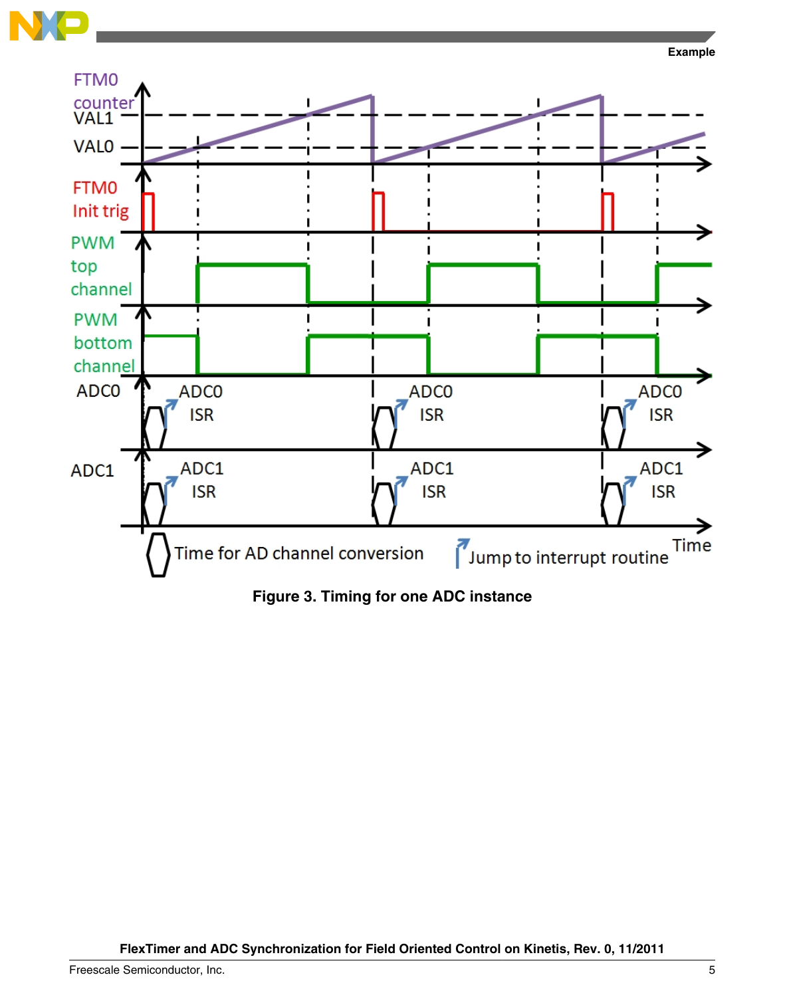<span id="page-4-0"></span>



**Figure 3. Timing for one ADC instance**

**FlexTimer and ADC Synchronization for Field Oriented Control on Kinetis, Rev. 0, 11/2011**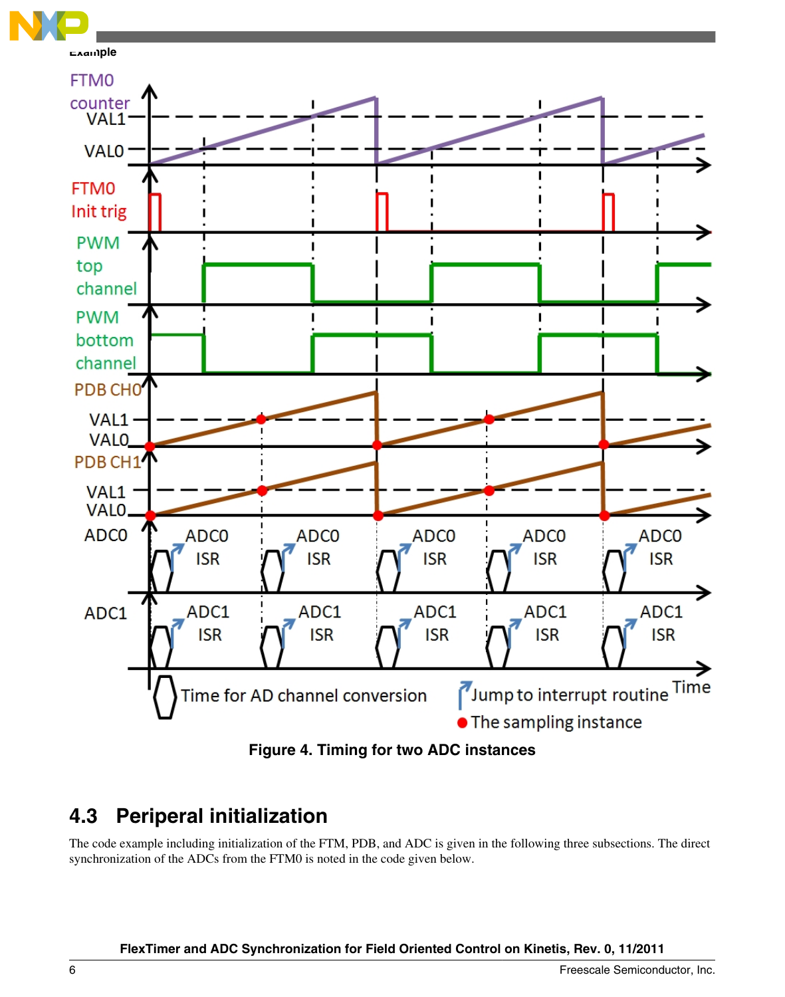<span id="page-5-0"></span>



**Figure 4. Timing for two ADC instances**

## **4.3 Periperal initialization**

The code example including initialization of the FTM, PDB, and ADC is given in the following three subsections. The direct synchronization of the ADCs from the FTM0 is noted in the code given below.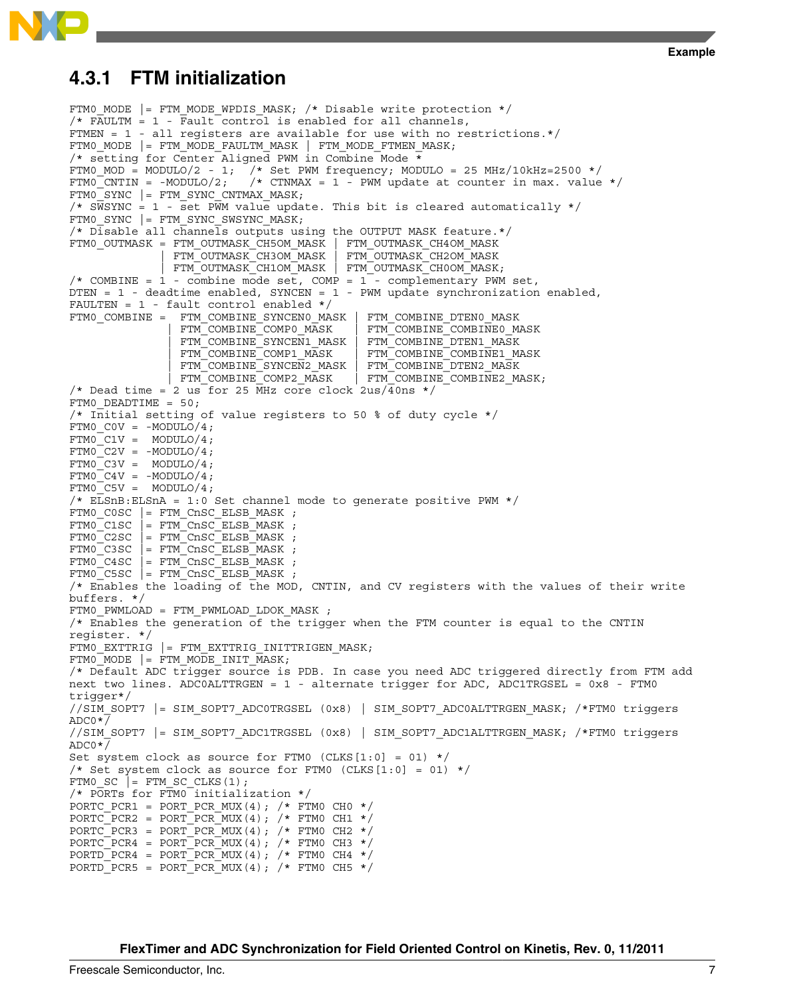### <span id="page-6-0"></span>**4.3.1 FTM initialization**

```
FTM0 MODE |= FTM MODE WPDIS MASK; /* Disable write protection */
/* FAULTM = 1 - Fault control is enabled for all channels,
FTMEN = 1 - all registers are available for use with no restrictions.*/
FTM0_MODE |= FTM_MODE_FAULTM_MASK | FTM_MODE_FTMEN_MASK;
/* setting for Center Aligned PWM in Combine Mode *
FTM0_MOD = MODULO/2 - 1; /* Set PWM frequency; MODULO = 25 MHz/10kHz=2500 */<br>FTM0_CNTIN = -MODULO/2; /* CTNMAX = 1 - PWM update at counter in max. value
                             f* CTNMAX = 1 - PWM update at counter in max. value */FTMOSYNC | = FTMSYNCCNTMAX MASK;
/* SWSYNC = 1 - set PWM value update. This bit is cleared automatically */
FTM0_SYNC |= FTM_SYNC_SWSYNC_MASK; 
/* Disable all channels outputs using the OUTPUT MASK feature.*/
FTM0_OUTMASK = FTM_OUTMASK_CH5OM_MASK | FTM_OUTMASK_CH4OM_MASK 
                  | FTM_OUTMASK_CH3OM_MASK | FTM_OUTMASK_CH2OM_MASK 
                FTM_OUTMASK_CH1OM_MASK | FTM_OUTMASK_CH0OM_MASK;
/* COMBINE = 1 - combine mode set, COMP = 1 - complementary PWM set,
DTEN = 1 - deadtime enabled, SYNCEN = 1 - PWM update synchronization enabled, 
FAULTEN = 1 - fault control enabled */FTM0_COMBINE = FTM_COMBINE_SYNCEN0_MASK | FTM_COMBINE_DTEN0_MASK | FTM_COMBINE0_MASK | FTM_COMBINE0_MASK
                                                 FTM_COMBINE_COMBINE0_MASK<br>FTM_COMBINE_DTEN1_MASK
                  | FTM_COMBINE_SYNCEN1_MASK | FTM_COMBINE_DTEN1_MASK
                  FTM_COMBINE_COMP1_MASK | FTM_COMBINE_COMBINE1_MASK<br>FTM_COMBINE_SYNCEN2_MASK | FTM_COMBINE_DTEN2_MASK
                 FTM_COMBINE_SYNCEN2_MASK<br>FTM_COMBINE_COMP2_MASK
                                                | FTM_COMBINE_COMP2_MASK | FTM_COMBINE_COMBINE2_MASK;
/* Dead time = 2 us for 25 MHz core clock 2us/40ns */
FTM0_DEADTIME = 50; 
/* Initial setting of value registers to 50 % of duty cycle */
FTM0 COV = -MODULO/4;FTMO\_C1V = MODULO/4;FTMO C2V = -MODULO/4;FTMO<sup>C3V = MODULO/4;</sup>
FTMO<sup>C4V = -MODULO/4;</sup>
FTMO<sup>C5V = MODULO/4;</sup>
/* ELSnB:ELSnA = 1:0 Set channel mode to generate positive PWM */
FTM0_C0SC |= FTM_CnSC_ELSB_MASK ;
FTMO_C1SC = FTM_CnSC_ELSB_MASK;
FTMO_C2SC = FTM_CnSC_ELSBMASK;
FTMO<sup>\overline{C}3SC \overline{F} \overline{F}FTM\overline{C}nSC\overline{F}ELSB\overline{M}ASK ;</sup>
FTMOC4SC = FTMCnSCELSBMASK ;
FTM0_C5SC |= FTM_CnSC_ELSB_MASK ;
/* Enables the loading of the MOD, CNTIN, and CV registers with the values of their write 
buffers. */
FTM0_PWMLOAD = FTM_PWMLOAD_LDOK_MASK ; 
/* Enables the generation of the trigger when the FTM counter is equal to the CNTIN 
register. */
FTM0_EXTTRIG |= FTM EXTTRIG INITTRIGEN MASK;
FTMO_MODE = FTM_MODE_MIT_MASK;/* Default ADC trigger source is PDB. In case you need ADC triggered directly from FTM add 
next two lines. ADC0ALTTRGEN = 1 - alternate trigger for ADC, ADC1TRGSEL = 0x8 - FTM0 
trigger*/ 
//SIM_SOPT7 |= SIM_SOPT7_ADC0TRGSEL (0x8) | SIM_SOPT7_ADC0ALTTRGEN_MASK; /*FTM0 triggers 
ADC0*/
//SIM_SOPT7 |= SIM_SOPT7_ADC1TRGSEL (0x8) | SIM_SOPT7_ADC1ALTTRGEN_MASK; /*FTM0 triggers 
ADC0*/ 
Set system clock as source for FTM0 (CLKS[1:0] = 01) */
/* Set system clock as source for FTM0 (CLKS[1:0] = 01) */
FTMO\_SC = FTM\_SC\_CLKS(1);
/* PORTs for FTMO initialization */
PORTC_PCR1 = PORT_PCR_MUX(4); /* FTM0 CH0 */
PORTC_PCR2 = PORT_PCR_MUX(4); /* FTM0 CH1 */
PORTC_PCR3 = PORT_PCR_MUX(4); /* FTMO CH2 */PORTC_PCR4 = PORT_PCR_MUX(4); /* FTM0 CH3 */PORTD_PCR4 = PORT_PCR_MUX(4); /* FTM0 CH4 */ 
PORTD PCR5 = PORT PCR MUX(4); /* FTM0 CH5 */
```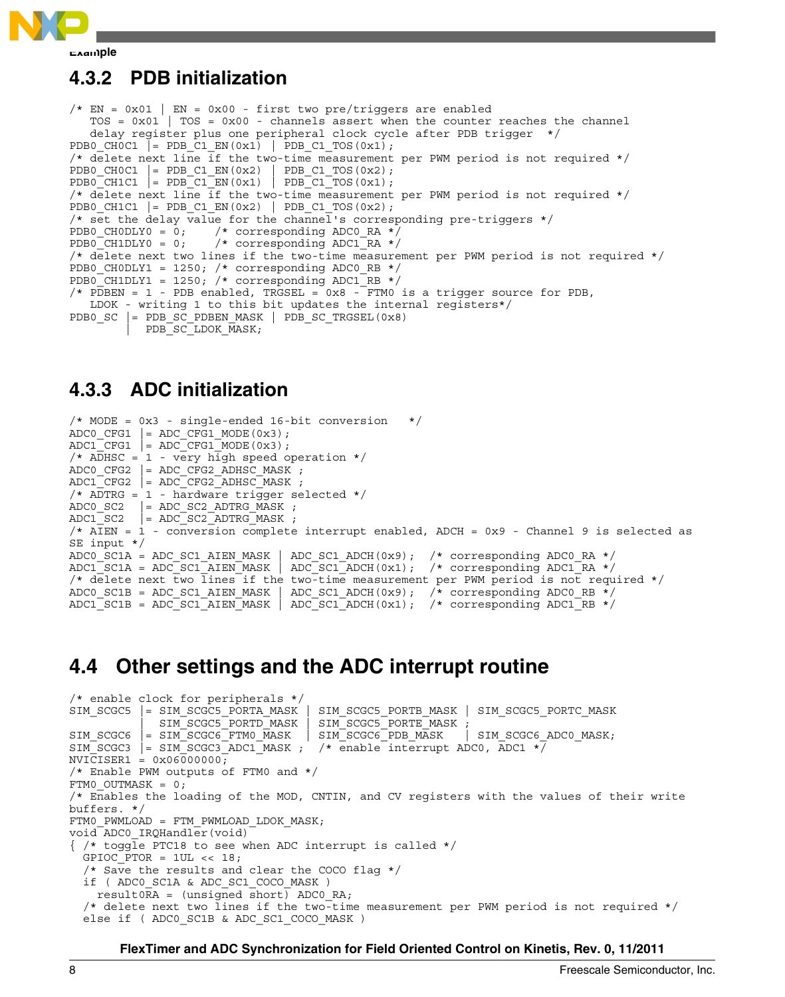<span id="page-7-0"></span>

**Example**

### **4.3.2 PDB initialization**

```
/* EN = 0x01 | EN = 0x00 - first two pre/triggers are enabled
   TOS = 0x01 | TOS = 0x00 - channels assert when the counter reaches the channel
    delay register plus one peripheral clock cycle after PDB trigger */
PDB0_CH0C1 |= PDB_C1_EN(0x1) | PDB_C1_TOS(0x1);
/* delete next line if the two-time measurement per PWM period is not required */
PDB0_CH0C1 |= PDB_C1_EN(0x2) | PDB_C1_TOS(0x2); 
PDB0_CH1C1 |= PDB_C1_EN(0x1) | PDB_C1_TOS(0x1); 
/* delete next line if the two-time measurement per PWM period is not required */
PDB0_CH1C1 |= PDB_C1_EN(0x2) | PDB_C1_TOS(0x2); 
/* set the delay value for the channel's corresponding pre-triggers */
PDB0_CH0DLY0 = 0; /* corresponding ADC0_RA */<br>PDB0_CH1DLY0 = 0; /* corresponding ADC1_RA */
                      /* corresponding ADC1_RA */
/* delete next two lines if the two-time measurement per PWM period is not required */
PDB0_CH0DLY1 = 1250; /* corresponding ADC0_RB */
PDB0<sup>-</sup>CH1DLY1 = 1250; /* corresponding ADC1<sup>-RB</sup> */
/* PDBEN = 1 - PDB enabled, TRGSEL = 0x8 - FTM0 is a trigger source for PDB,
    LDOK - writing 1 to this bit updates the internal registers*/
PDB0 SC |= PDB_SC_PDBEN_MASK | PDB_SC_TRGSEL(0x8)
         | PDB_SC_LDOK_MASK;
```
### **4.3.3 ADC initialization**

```
/* MODE = 0x3 - single-ended 16-bit conversion */\texttt{ADC}<sup>\texttt{CFG1}</sup> = \texttt{ADC}<sup>\texttt{CFG1}</sup> \texttt{MODE}(0x3);
ADC1_CFG1 = ADC_CFG1_MODE(0x3);/* ADHSC = 1 - very high speed operation */ 
ADC0 CFG2 | = ADC CFG2 ADHSC MASK ;
ADC1 CFG2 | = ADC CFG2 ADHSC MASK ;
/* ADTRG = 1 - hardware trigger selected */ 
ADC0_SC2 |= ADC_SC2_ADTRG_MASK ;
ADC1<sub>SC2</sub> \vert = ADC<sub>SC2</sub><sup>\vert</sup>ADTRG<sup></sup>MASK ;
/* AIEN = 1 - conversion complete interrupt enabled, ADCH = 0x9 - Channel 9 is selected as 
SE input */ 
ADC0_SC1A = ADC_SC1_AIEN_MASK | ADC_SC1_ADCH(0x9); /* corresponding ADC0_RA */ 
ADCTSC1A = ADC SC1<sup>_</sup>AIEN_MASK | ADC SC1<sup>_</sup>ADCH(0x1); /* corresponding ADC1<sup>_</sup>RA */
/* delete next two lines if the two-time measurement per PWM period is not required */
ADC0_SC1B = ADC_SC1_AIEN_MASK | ADC_SC1_ADCH(0x9); /* corresponding ADC0_RB */ 
ADC1_SC1B = ADC_SC1_AIEN_MASK | ADC_SC1_ADCH(0x1); /* corresponding ADC1_RB */
```
### **4.4 Other settings and the ADC interrupt routine**

```
/* enable clock for peripherals */
          |= SIM_SCGC5_PORTA_MASK | SIM_SCGC5_PORTB_MASK | SIM_SCGC5_PORTC_MASK
              | SIM_SCGC5_PORTD_MASK | SIM_SCGC5_PORTE_MASK ; 
SIM_SCGC6 |= SIM_SCGC6_FTM0_MASK | SIM_SCGC6_PDB_MASK | SIM_SCGC6_ADC0_MASK;
SIM_SCGC3 |= SIM_SCGC3_ADC1_MASK ; /* enable interrupt ADC0, ADC1 \star/
NVICISER1 = 0x06000000;
/* Enable PWM outputs of FTM0 and */
FTM0_OUTMASK = 0;
/* Enables the loading of the MOD, CNTIN, and CV registers with the values of their write
buffers. */
FTM0_PWMLOAD = FTM_PWMLOAD_LDOK_MASK;
void ADC0_IRQHandler(void)
\frac{1}{x} /* toggle PTC18 to see when ADC interrupt is called */
  GPIOC PTOR = 1UL \ll 18;
   /* Save the results and clear the COCO flag */
   if ( ADC0_SC1A & ADC_SC1_COCO_MASK ) 
   result0RA = (unsigned Short) ADC0 RA; /* delete next two lines if the two-time measurement per PWM period is not required */ 
  else if ( ADC0 SC1B & ADC SC1 COCO MASK )
```
### **FlexTimer and ADC Synchronization for Field Oriented Control on Kinetis, Rev. 0, 11/2011**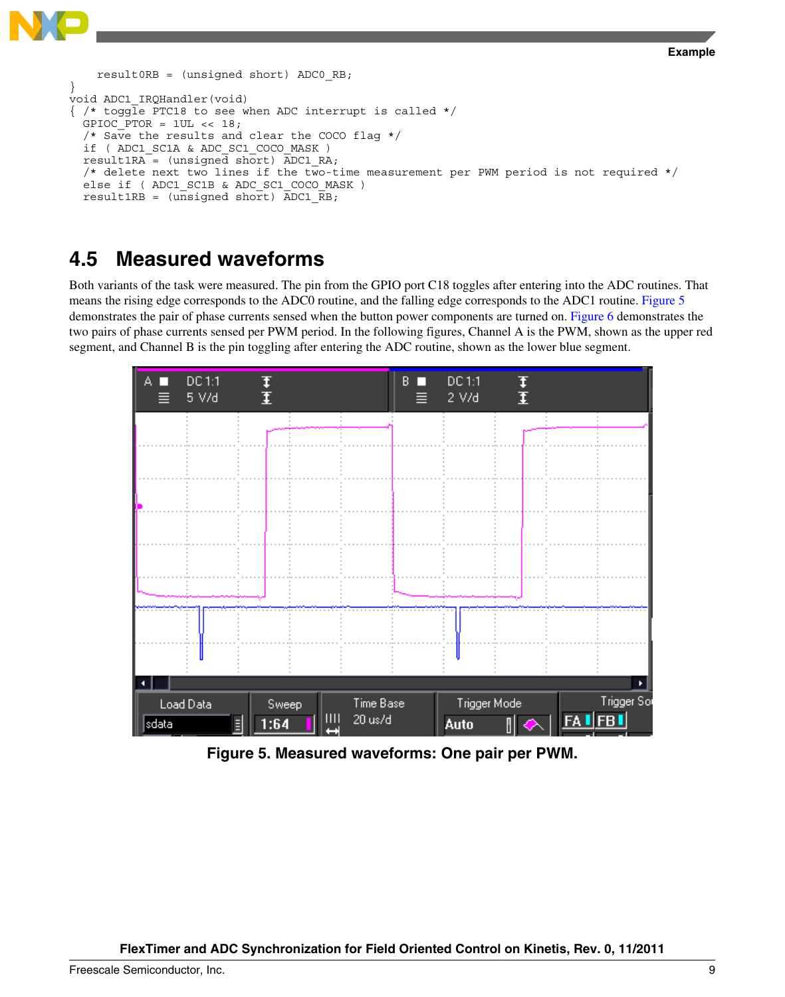```
Example
```

```
result0RB = (unsigned short) ADC0 RB;}
void ADC1_IRQHandler(void)
 /* toggle PTC18 to see when ADC interrupt is called */
  GPIOC PTOR = 1UL \ll 18;
  /* Save the results and clear the COCO flag */ if ( ADC1_SC1A & ADC_SC1_COCO_MASK ) 
  result1RA = (unsigned short) ADC1 RA;
   /* delete next two lines if the two-time measurement per PWM period is not required */
  else if ( ADC1 SC1B & ADC SC1 COCO MASK )
   result1RB = (unsigned short) ADC1_RB;
```
### **4.5 Measured waveforms**

Both variants of the task were measured. The pin from the GPIO port C18 toggles after entering into the ADC routines. That means the rising edge corresponds to the ADC0 routine, and the falling edge corresponds to the ADC1 routine. Figure 5 demonstrates the pair of phase currents sensed when the button power components are turned on. [Figure 6](#page-9-0) demonstrates the two pairs of phase currents sensed per PWM period. In the following figures, Channel A is the PWM, shown as the upper red segment, and Channel B is the pin toggling after entering the ADC routine, shown as the lower blue segment.



**Figure 5. Measured waveforms: One pair per PWM.**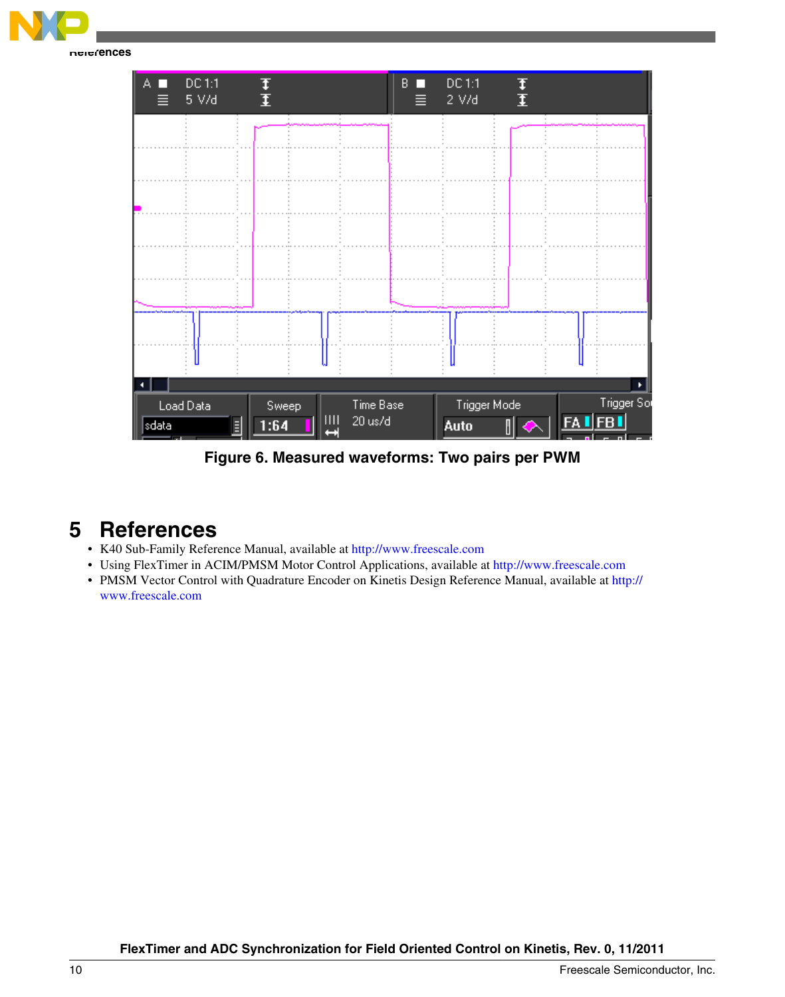<span id="page-9-0"></span>

**Figure 6. Measured waveforms: Two pairs per PWM**

## **5 References**

- K40 Sub-Family Reference Manual, available at<http://www.freescale.com>
- Using FlexTimer in ACIM/PMSM Motor Control Applications, available at <http://www.freescale.com>
- PMSM Vector Control with Quadrature Encoder on Kinetis Design Reference Manual, available at [http://](http://www.freescale.com) [www.freescale.com](http://www.freescale.com)